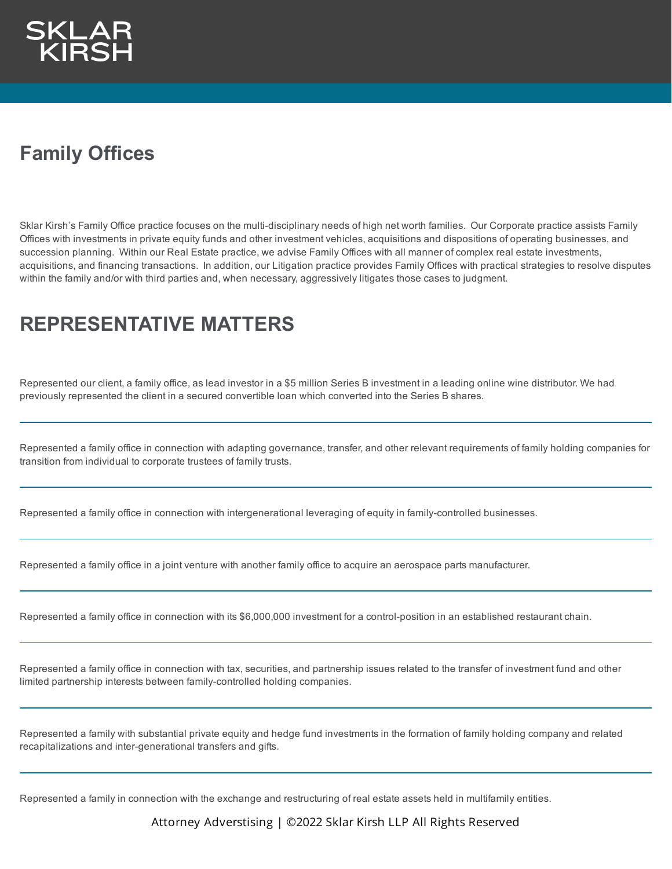

## **Family Offices**

Sklar Kirsh's Family Office practice focuses on the multi-disciplinary needs of high net worth families. Our Corporate practice assists Family Offices with investments in private equity funds and other investment vehicles, acquisitions and dispositions of operating businesses, and succession planning. Within our Real Estate practice, we advise Family Offices with all manner of complex real estate investments, acquisitions, and financing transactions. In addition, our Litigation practice provides Family Offices with practical strategies to resolve disputes within the family and/or with third parties and, when necessary, aggressively litigates those cases to judgment.

## **REPRESENTATIVE MATTERS**

Represented our client, a family office, as lead investor in a \$5 million Series B investment in a leading online wine distributor. We had previously represented the client in a secured convertible loan which converted into the Series B shares.

Represented a family office in connection with adapting governance, transfer, and other relevant requirements of family holding companies for transition from individual to corporate trustees of family trusts.

Represented a family office in connection with intergenerational leveraging of equity in family-controlled businesses.

Represented a family office in a joint venture with another family office to acquire an aerospace parts manufacturer.

Represented a family office in connection with its \$6,000,000 investment for a control-position in an established restaurant chain.

Represented a family office in connection with tax, securities, and partnership issues related to the transfer of investment fund and other limited partnership interests between family-controlled holding companies.

Represented a family with substantial private equity and hedge fund investments in the formation of family holding company and related recapitalizations and inter-generational transfers and gifts.

Represented a family in connection with the exchange and restructuring of real estate assets held in multifamily entities.

Attorney Adverstising | ©2022 Sklar Kirsh LLP All Rights Reserved